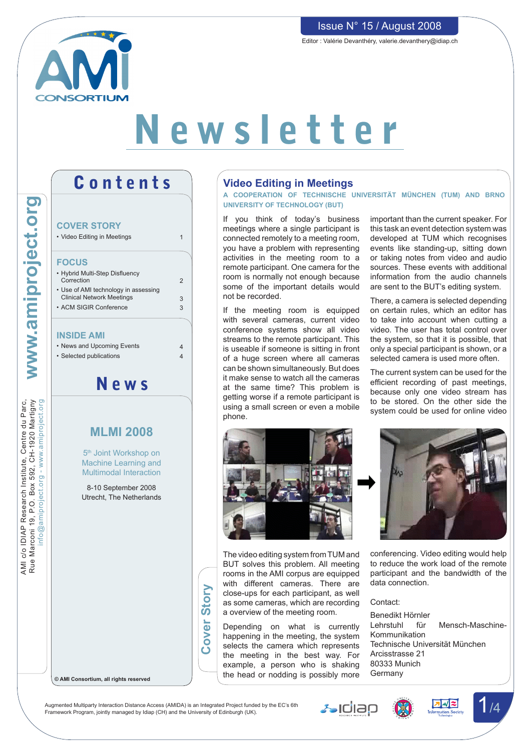

# Newsletter

AMI c/o IDIAP Research Institute, Centre du Parc, Rue Marconi 19, P.O. Box 592, CH-1920 Martigny

AMI c/o IDIAP Research Institute, Centre du Parc,<br>Rue Marconi 19, P.O. Box 592, CH-1920 Martigny

info@amiproject.org - www.amiproject.org

## **COVER STORY** • Video Editing in Meetings **FOCUS** • Hybrid Multi-Step Disfluency Correction • Use of AMI technology in assessing Clinical Network Meetings • ACM SIGIR Conference **INSIDE AMI** • News and Upcoming Events • Selected publications 1  $\overline{2}$ 3 3 4 4 News **MLMI 2008** 5<sup>th</sup> Joint Workshop on

Contents

Multimodal Interaction 8-10 September 2008 Utrecht, The Netherlands

Machine Learning and

## **Video Editing in Meetings**

**A cooperation of Technische Universität München (TUM) and Brno University of Technology (BUT)**

If you think of today's business meetings where a single participant is connected remotely to a meeting room, you have a problem with representing activities in the meeting room to a remote participant. One camera for the room is normally not enough because some of the important details would not be recorded.

If the meeting room is equipped with several cameras, current video conference systems show all video streams to the remote participant. This is useable if someone is sitting in front of a huge screen where all cameras can be shown simultaneously. But does it make sense to watch all the cameras at the same time? This problem is getting worse if a remote participant is using a small screen or even a mobile phone.

important than the current speaker. For this task an event detection system was developed at TUM which recognises events like standing-up, sitting down or taking notes from video and audio sources. These events with additional information from the audio channels are sent to the BUT's editing system.

There, a camera is selected depending on certain rules, which an editor has to take into account when cutting a video. The user has total control over the system, so that it is possible, that only a special participant is shown, or a selected camera is used more often.

The current system can be used for the efficient recording of past meetings, because only one video stream has to be stored. On the other side the system could be used for online video



The video editing system from TUM and BUT solves this problem. All meeting rooms in the AMI corpus are equipped with different cameras. There are close-ups for each participant, as well as some cameras, which are recording a overview of the meeting room.

Depending on what is currently happening in the meeting, the system selects the camera which represents the meeting in the best way. For example, a person who is shaking the head or nodding is possibly more



conferencing. Video editing would help to reduce the work load of the remote participant and the bandwidth of the data connection.

#### Contact:

Benedikt Hörnler Lehrstuhl für Mensch-Maschine-Kommunikation Technische Universität München Arcisstrasse 21 80333 Munich Germany

#### **© AMI Consortium, all rights reserved**







## Issue N° 15 / August 2008

Editor : Valérie Devanthéry, valerie.devanthery@idiap.ch

Augmented Multiparty Interaction Distance Access (AMIDA) is an Integrated Project funded by the EC's 6th Augmented Multiparty Interaction Distance Access (AMIDA) is an Integrated Project funded by the EC's 6th<br>Framework Program, jointly managed by Idiap (CH) and the University of Edinburgh (UK).

**Cover Story**

**Cover** 

Story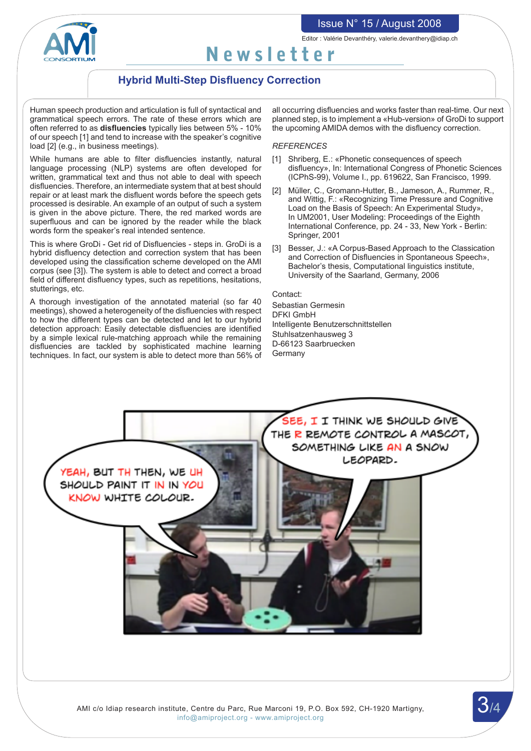## Issue N° 15 / August 2008



Editor : Valérie Devanthéry, valerie.devanthery@idiap.ch

# Newsletter

## **Hybrid Multi-Step Disfluency Correction**

Human speech production and articulation is full of syntactical and grammatical speech errors. The rate of these errors which are often referred to as **disfluencies** typically lies between 5% - 10% of our speech [1] and tend to increase with the speaker's cognitive load [2] (e.g., in business meetings).

While humans are able to filter disfluencies instantly, natural language processing (NLP) systems are often developed for written, grammatical text and thus not able to deal with speech disfluencies. Therefore, an intermediate system that at best should repair or at least mark the disfluent words before the speech gets processed is desirable. An example of an output of such a system is given in the above picture. There, the red marked words are superfluous and can be ignored by the reader while the black words form the speaker's real intended sentence.

This is where GroDi - Get rid of Disfluencies - steps in. GroDi is a hybrid disfluency detection and correction system that has been developed using the classification scheme developed on the AMI corpus (see [3]). The system is able to detect and correct a broad field of different disfluency types, such as repetitions, hesitations, stutterings, etc.

A thorough investigation of the annotated material (so far 40 meetings), showed a heterogeneity of the disfluencies with respect to how the different types can be detected and let to our hybrid detection approach: Easily detectable disfluencies are identified by a simple lexical rule-matching approach while the remaining disfluencies are tackled by sophisticated machine learning techniques. In fact, our system is able to detect more than 56% of

all occurring disfluencies and works faster than real-time. Our next planned step, is to implement a «Hub-version» of GroDi to support the upcoming AMIDA demos with the disfluency correction.

#### *REFERENCES*

- [1] Shriberg, E.: «Phonetic consequences of speech disfluency», In: International Congress of Phonetic Sciences (ICPhS-99), Volume I., pp. 619622, San Francisco, 1999.
- [2] Müller, C., Gromann-Hutter, B., Jameson, A., Rummer, R., and Wittig, F.: «Recognizing Time Pressure and Cognitive Load on the Basis of Speech: An Experimental Study», In UM2001, User Modeling: Proceedings of the Eighth International Conference, pp. 24 - 33, New York - Berlin: Springer, 2001
- [3] Besser, J.: «A Corpus-Based Approach to the Classication and Correction of Disfluencies in Spontaneous Speech», Bachelor's thesis, Computational linguistics institute, University of the Saarland, Germany, 2006

Contact: Sebastian Germesin DFKI GmbH Intelligente Benutzerschnittstellen Stuhlsatzenhausweg 3 D-66123 Saarbruecken **Germany** 

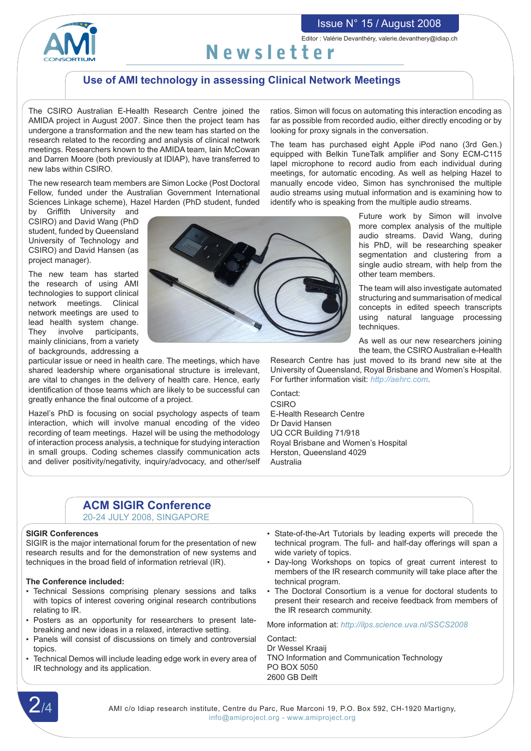



Editor : Valérie Devanthéry, valerie.devanthery@idiap.ch

# Newsletter

## **Use of AMI technology in assessing Clinical Network Meetings**

The CSIRO Australian E-Health Research Centre joined the AMIDA project in August 2007. Since then the project team has undergone a transformation and the new team has started on the research related to the recording and analysis of clinical network meetings. Researchers known to the AMIDA team, Iain McCowan and Darren Moore (both previously at IDIAP), have transferred to new labs within CSIRO.

The new research team members are Simon Locke (Post Doctoral Fellow, funded under the Australian Government International Sciences Linkage scheme), Hazel Harden (PhD student, funded

by Griffith University and CSIRO) and David Wang (PhD student, funded by Queensland University of Technology and CSIRO) and David Hansen (as project manager).

The new team has started the research of using AMI technologies to support clinical network meetings. Clinical network meetings are used to lead health system change. They involve participants, mainly clinicians, from a variety of backgrounds, addressing a

particular issue or need in health care. The meetings, which have shared leadership where organisational structure is irrelevant, are vital to changes in the delivery of health care. Hence, early identification of those teams which are likely to be successful can greatly enhance the final outcome of a project.

Hazel's PhD is focusing on social psychology aspects of team interaction, which will involve manual encoding of the video recording of team meetings. Hazel will be using the methodology of interaction process analysis, a technique for studying interaction in small groups. Coding schemes classify communication acts and deliver positivity/negativity, inquiry/advocacy, and other/self

ratios. Simon will focus on automating this interaction encoding as far as possible from recorded audio, either directly encoding or by looking for proxy signals in the conversation.

The team has purchased eight Apple iPod nano (3rd Gen.) equipped with Belkin TuneTalk amplifier and Sony ECM-C115 lapel microphone to record audio from each individual during meetings, for automatic encoding. As well as helping Hazel to manually encode video, Simon has synchronised the multiple audio streams using mutual information and is examining how to identify who is speaking from the multiple audio streams.

> Future work by Simon will involve more complex analysis of the multiple audio streams. David Wang, during his PhD, will be researching speaker segmentation and clustering from a single audio stream, with help from the other team members.

> The team will also investigate automated structuring and summarisation of medical concepts in edited speech transcripts using natural language processing techniques.

> As well as our new researchers joining the team, the CSIRO Australian e-Health

Research Centre has just moved to its brand new site at the University of Queensland, Royal Brisbane and Women's Hospital. For further information visit: *http://aehrc.com*.

Contact: CSIRO E-Health Research Centre Dr David Hansen UQ CCR Building 71/918 Royal Brisbane and Women's Hospital Herston, Queensland 4029 Australia

## **ACM SIGIR Conference**

20-24 July 2008, Singapore

#### **SIGIR Conferences**

SIGIR is the major international forum for the presentation of new research results and for the demonstration of new systems and techniques in the broad field of information retrieval (IR).

#### **The Conference included:**

- Technical Sessions comprising plenary sessions and talks with topics of interest covering original research contributions relating to IR.
- Posters as an opportunity for researchers to present latebreaking and new ideas in a relaxed, interactive setting.
- Panels will consist of discussions on timely and controversial topics.
- • Technical Demos will include leading edge work in every area of IR technology and its application.
- State-of-the-Art Tutorials by leading experts will precede the technical program. The full- and half-day offerings will span a wide variety of topics.
- • Day-long Workshops on topics of great current interest to members of the IR research community will take place after the technical program.
- The Doctoral Consortium is a venue for doctoral students to present their research and receive feedback from members of the IR research community.

More information at: *http://ilps.science.uva.nl/SSCS2008*

Contact: Dr Wessel Kraaij TNO Information and Communication Technology PO BOX 5050 2600 GB Delft